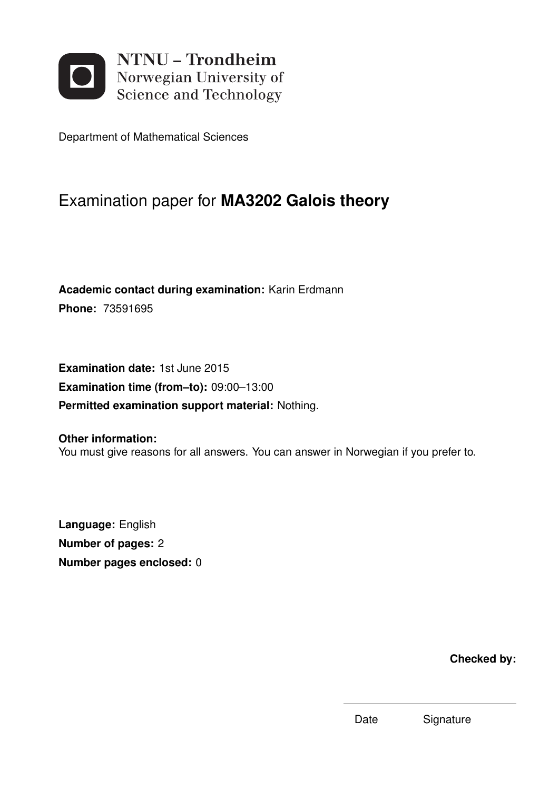

Department of Mathematical Sciences

## Examination paper for **MA3202 Galois theory**

**Academic contact during examination:** Karin Erdmann **Phone:** 73591695

**Examination date:** 1st June 2015 **Examination time (from–to):** 09:00–13:00 **Permitted examination support material:** Nothing.

**Other information:** You must give reasons for all answers. You can answer in Norwegian if you prefer to.

**Language:** English **Number of pages:** 2 **Number pages enclosed:** 0

**Checked by:**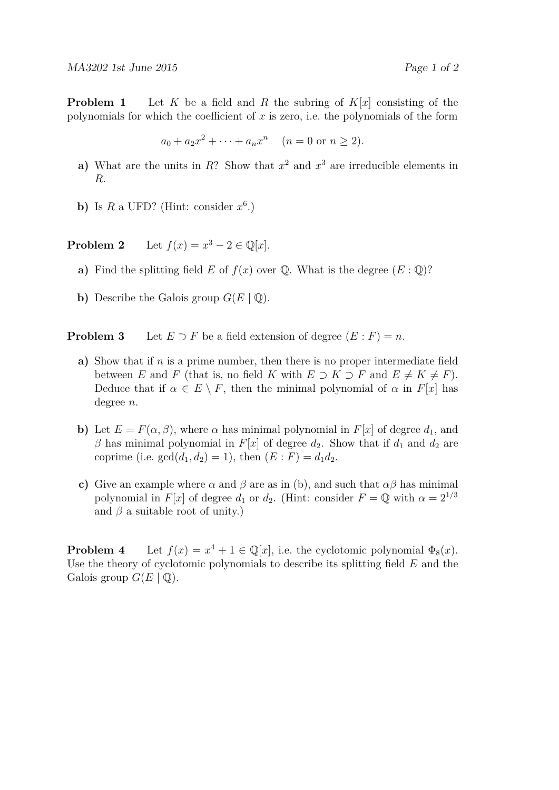**Problem 1** Let *K* be a field and *R* the subring of *K*[*x*] consisting of the polynomials for which the coefficient of *x* is zero, i.e. the polynomials of the form

$$
a_0 + a_2x^2 + \dots + a_nx^n
$$
  $(n = 0 \text{ or } n \ge 2).$ 

- **a**) What are the units in *R*? Show that  $x^2$  and  $x^3$  are irreducible elements in *R*.
- **b**) Is  $R$  a UFD? (Hint: consider  $x^6$ .)

**Problem 2** Let  $f(x) = x^3 - 2 \in \mathbb{Q}[x]$ .

- **a**) Find the splitting field *E* of  $f(x)$  over  $\mathbb{Q}$ . What is the degree  $(E : \mathbb{Q})$ ?
- **b**) Describe the Galois group  $G(E | \mathbb{Q})$ .

**Problem 3** Let  $E \supset F$  be a field extension of degree  $(E : F) = n$ .

- **a)** Show that if *n* is a prime number, then there is no proper intermediate field between *E* and *F* (that is, no field *K* with  $E \supset K \supset F$  and  $E \neq K \neq F$ ). Deduce that if  $\alpha \in E \setminus F$ , then the minimal polynomial of  $\alpha$  in  $F[x]$  has degree *n*.
- **b)** Let  $E = F(\alpha, \beta)$ , where  $\alpha$  has minimal polynomial in  $F[x]$  of degree  $d_1$ , and *β* has minimal polynomial in *F*[*x*] of degree  $d_2$ . Show that if  $d_1$  and  $d_2$  are coprime (i.e.  $gcd(d_1, d_2) = 1$ ), then  $(E : F) = d_1 d_2$ .
- **c)** Give an example where  $\alpha$  and  $\beta$  are as in (b), and such that  $\alpha\beta$  has minimal polynomial in *F*[*x*] of degree *d*<sub>1</sub> or *d*<sub>2</sub>. (Hint: consider  $F = \mathbb{Q}$  with  $\alpha = 2^{1/3}$ and  $\beta$  a suitable root of unity.)

**Problem 4** Let  $f(x) = x^4 + 1 \in \mathbb{Q}[x]$ , i.e. the cyclotomic polynomial  $\Phi_8(x)$ . Use the theory of cyclotomic polynomials to describe its splitting field *E* and the Galois group  $G(E | \mathbb{Q})$ .